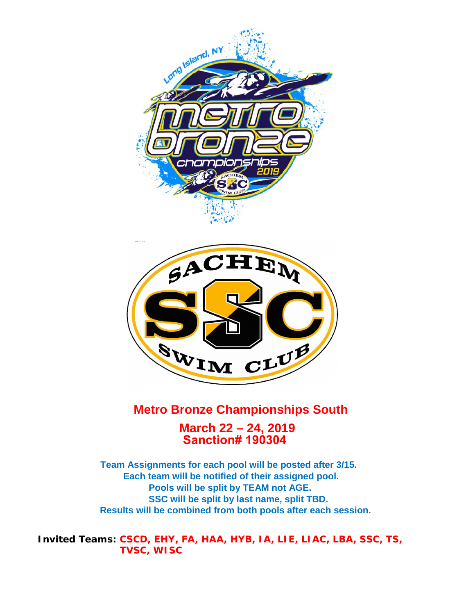

# **Metro Bronze Championships South**

 **March 22 – 24, 2019 Sanction# 190304**

**Team Assignments for each pool will be posted after 3/15. Each team will be notified of their assigned pool. Pools will be split by TEAM not AGE. SSC will be split by last name, split TBD. Results will be combined from both pools after each session.**

**Invited Teams: CSCD, EHY, FA, HAA, HYB, IA, LIE, LIAC, LBA, SSC, TS, TVSC, WISC**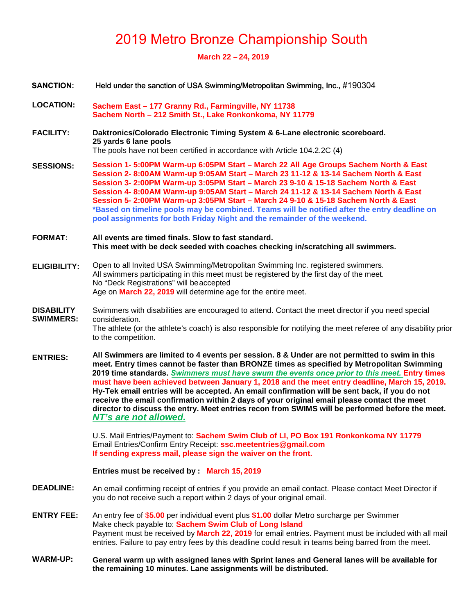# 2019 Metro Bronze Championship South

**March 22 – 24, 2019**

| <b>SANCTION:</b>                      | Held under the sanction of USA Swimming/Metropolitan Swimming, Inc., #190304                                                                                                                                                                                                                                                                                                                                                                                                                                                                                                                                                                                                                                            |
|---------------------------------------|-------------------------------------------------------------------------------------------------------------------------------------------------------------------------------------------------------------------------------------------------------------------------------------------------------------------------------------------------------------------------------------------------------------------------------------------------------------------------------------------------------------------------------------------------------------------------------------------------------------------------------------------------------------------------------------------------------------------------|
| <b>LOCATION:</b>                      | Sachem East - 177 Granny Rd., Farmingville, NY 11738<br>Sachem North - 212 Smith St., Lake Ronkonkoma, NY 11779                                                                                                                                                                                                                                                                                                                                                                                                                                                                                                                                                                                                         |
| <b>FACILITY:</b>                      | Daktronics/Colorado Electronic Timing System & 6-Lane electronic scoreboard.<br>25 yards 6 lane pools<br>The pools have not been certified in accordance with Article 104.2.2C (4)                                                                                                                                                                                                                                                                                                                                                                                                                                                                                                                                      |
| <b>SESSIONS:</b>                      | Session 1-5:00PM Warm-up 6:05PM Start - March 22 All Age Groups Sachem North & East<br>Session 2-8:00AM Warm-up 9:05AM Start - March 23 11-12 & 13-14 Sachem North & East<br>Session 3- 2:00PM Warm-up 3:05PM Start - March 23 9-10 & 15-18 Sachem North & East<br>Session 4-8:00AM Warm-up 9:05AM Start - March 24 11-12 & 13-14 Sachem North & East<br>Session 5- 2:00PM Warm-up 3:05PM Start - March 24 9-10 & 15-18 Sachem North & East<br>*Based on timeline pools may be combined. Teams will be notified after the entry deadline on<br>pool assignments for both Friday Night and the remainder of the weekend.                                                                                                 |
| <b>FORMAT:</b>                        | All events are timed finals. Slow to fast standard.<br>This meet with be deck seeded with coaches checking in/scratching all swimmers.                                                                                                                                                                                                                                                                                                                                                                                                                                                                                                                                                                                  |
| <b>ELIGIBILITY:</b>                   | Open to all Invited USA Swimming/Metropolitan Swimming Inc. registered swimmers.<br>All swimmers participating in this meet must be registered by the first day of the meet.<br>No "Deck Registrations" will be accepted<br>Age on March 22, 2019 will determine age for the entire meet.                                                                                                                                                                                                                                                                                                                                                                                                                               |
| <b>DISABILITY</b><br><b>SWIMMERS:</b> | Swimmers with disabilities are encouraged to attend. Contact the meet director if you need special<br>consideration.<br>The athlete (or the athlete's coach) is also responsible for notifying the meet referee of any disability prior<br>to the competition.                                                                                                                                                                                                                                                                                                                                                                                                                                                          |
| <b>ENTRIES:</b>                       | All Swimmers are limited to 4 events per session. 8 & Under are not permitted to swim in this<br>meet. Entry times cannot be faster than BRONZE times as specified by Metropolitan Swimming<br>2019 time standards. Swimmers must have swum the events once prior to this meet. Entry times<br>must have been achieved between January 1, 2018 and the meet entry deadline, March 15, 2019.<br>Hy-Tek email entries will be accepted. An email confirmation will be sent back, if you do not<br>receive the email confirmation within 2 days of your original email please contact the meet<br>director to discuss the entry. Meet entries recon from SWIMS will be performed before the meet.<br>NT's are not allowed. |
|                                       | U.S. Mail Entries/Payment to: Sachem Swim Club of LI, PO Box 191 Ronkonkoma NY 11779<br>Email Entries/Confirm Entry Receipt: ssc.meetentries@gmail.com<br>If sending express mail, please sign the waiver on the front.                                                                                                                                                                                                                                                                                                                                                                                                                                                                                                 |
|                                       | Entries must be received by : March 15, 2019                                                                                                                                                                                                                                                                                                                                                                                                                                                                                                                                                                                                                                                                            |
| <b>DEADLINE:</b>                      | An email confirming receipt of entries if you provide an email contact. Please contact Meet Director if<br>you do not receive such a report within 2 days of your original email.                                                                                                                                                                                                                                                                                                                                                                                                                                                                                                                                       |
| <b>ENTRY FEE:</b>                     | An entry fee of \$5.00 per individual event plus \$1.00 dollar Metro surcharge per Swimmer<br>Make check payable to: Sachem Swim Club of Long Island<br>Payment must be received by March 22, 2019 for email entries. Payment must be included with all mail<br>entries. Failure to pay entry fees by this deadline could result in teams being barred from the meet.                                                                                                                                                                                                                                                                                                                                                   |
| <b>WARM-UP:</b>                       | General warm up with assigned lanes with Sprint lanes and General lanes will be available for<br>the remaining 10 minutes. Lane assignments will be distributed.                                                                                                                                                                                                                                                                                                                                                                                                                                                                                                                                                        |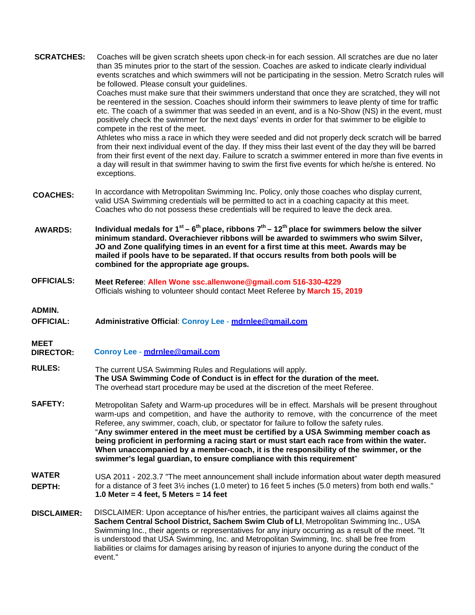| <b>SCRATCHES:</b>                 | Coaches will be given scratch sheets upon check-in for each session. All scratches are due no later<br>than 35 minutes prior to the start of the session. Coaches are asked to indicate clearly individual<br>events scratches and which swimmers will not be participating in the session. Metro Scratch rules will<br>be followed. Please consult your guidelines.<br>Coaches must make sure that their swimmers understand that once they are scratched, they will not<br>be reentered in the session. Coaches should inform their swimmers to leave plenty of time for traffic<br>etc. The coach of a swimmer that was seeded in an event, and is a No-Show (NS) in the event, must<br>positively check the swimmer for the next days' events in order for that swimmer to be eligible to |
|-----------------------------------|-----------------------------------------------------------------------------------------------------------------------------------------------------------------------------------------------------------------------------------------------------------------------------------------------------------------------------------------------------------------------------------------------------------------------------------------------------------------------------------------------------------------------------------------------------------------------------------------------------------------------------------------------------------------------------------------------------------------------------------------------------------------------------------------------|
|                                   | compete in the rest of the meet.<br>Athletes who miss a race in which they were seeded and did not properly deck scratch will be barred<br>from their next individual event of the day. If they miss their last event of the day they will be barred<br>from their first event of the next day. Failure to scratch a swimmer entered in more than five events in<br>a day will result in that swimmer having to swim the first five events for which he/she is entered. No<br>exceptions.                                                                                                                                                                                                                                                                                                     |
| <b>COACHES:</b>                   | In accordance with Metropolitan Swimming Inc. Policy, only those coaches who display current,<br>valid USA Swimming credentials will be permitted to act in a coaching capacity at this meet.<br>Coaches who do not possess these credentials will be required to leave the deck area.                                                                                                                                                                                                                                                                                                                                                                                                                                                                                                        |
| <b>AWARDS:</b>                    | Individual medals for $1^{st}$ – $6^{th}$ place, ribbons $7^{th}$ – 12 <sup>th</sup> place for swimmers below the silver<br>minimum standard. Overachiever ribbons will be awarded to swimmers who swim Silver,<br>JO and Zone qualifying times in an event for a first time at this meet. Awards may be<br>mailed if pools have to be separated. If that occurs results from both pools will be<br>combined for the appropriate age groups.                                                                                                                                                                                                                                                                                                                                                  |
| <b>OFFICIALS:</b>                 | Meet Referee: Allen Wone ssc.allenwone@gmail.com 516-330-4229<br>Officials wishing to volunteer should contact Meet Referee by March 15, 2019                                                                                                                                                                                                                                                                                                                                                                                                                                                                                                                                                                                                                                                 |
| <b>ADMIN.</b><br><b>OFFICIAL:</b> | Administrative Official: Conroy Lee - mdrnlee@amail.com                                                                                                                                                                                                                                                                                                                                                                                                                                                                                                                                                                                                                                                                                                                                       |
| <b>MEET</b><br><b>DIRECTOR:</b>   | Conroy Lee - mdrnlee@amail.com                                                                                                                                                                                                                                                                                                                                                                                                                                                                                                                                                                                                                                                                                                                                                                |
| <b>RULES:</b>                     | The current USA Swimming Rules and Regulations will apply.<br>The USA Swimming Code of Conduct is in effect for the duration of the meet.<br>The overhead start procedure may be used at the discretion of the meet Referee.                                                                                                                                                                                                                                                                                                                                                                                                                                                                                                                                                                  |
| <b>SAFETY:</b>                    | Metropolitan Safety and Warm-up procedures will be in effect. Marshals will be present throughout<br>warm-ups and competition, and have the authority to remove, with the concurrence of the meet<br>Referee, any swimmer, coach, club, or spectator for failure to follow the safety rules.<br>"Any swimmer entered in the meet must be certified by a USA Swimming member coach as<br>being proficient in performing a racing start or must start each race from within the water.<br>When unaccompanied by a member-coach, it is the responsibility of the swimmer, or the<br>swimmer's legal guardian, to ensure compliance with this requirement"                                                                                                                                        |
| WATER<br>DEPTH:                   | USA 2011 - 202.3.7 "The meet announcement shall include information about water depth measured<br>for a distance of 3 feet $3\frac{1}{2}$ inches (1.0 meter) to 16 feet 5 inches (5.0 meters) from both end walls."<br>1.0 Meter = 4 feet, 5 Meters = 14 feet                                                                                                                                                                                                                                                                                                                                                                                                                                                                                                                                 |
| <b>DISCLAIMER:</b>                | DISCLAIMER: Upon acceptance of his/her entries, the participant waives all claims against the<br>Sachem Central School District, Sachem Swim Club of LI, Metropolitan Swimming Inc., USA<br>Swimming Inc., their agents or representatives for any injury occurring as a result of the meet. "It<br>is understood that USA Swimming, Inc. and Metropolitan Swimming, Inc. shall be free from<br>liabilities or claims for damages arising by reason of injuries to anyone during the conduct of the<br>event."                                                                                                                                                                                                                                                                                |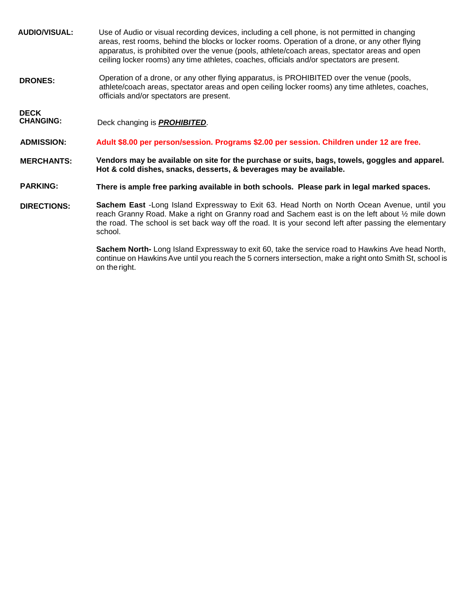**AUDIO/VISUAL:** Use of Audio or visual recording devices, including a cell phone, is not permitted in changing areas, rest rooms, behind the blocks or locker rooms. Operation of a drone, or any other flying apparatus, is prohibited over the venue (pools, athlete/coach areas, spectator areas and open ceiling locker rooms) any time athletes, coaches, officials and/or spectators are present.

**DRONES:** Operation of a drone, or any other flying apparatus, is PROHIBITED over the venue (pools, athlete/coach areas, spectator areas and open ceiling locker rooms) any time athletes, coaches, officials and/or spectators are present.

**CHANGING:** Deck changing is *PROHIBITED*.

**DECK** 

**ADMISSION: Adult \$8.00 per person/session. Programs \$2.00 per session. Children under 12 are free.**

**Vendors may be available on site for the purchase or suits, bags, towels, goggles and apparel. Hot & cold dishes, snacks, desserts, & beverages may be available. MERCHANTS:**

**There is ample free parking available in both schools. Please park in legal marked spaces. PARKING:**

**Sachem East** -Long Island Expressway to Exit 63. Head North on North Ocean Avenue, until you reach Granny Road. Make a right on Granny road and Sachem east is on the left about ½ mile down the road. The school is set back way off the road. It is your second left after passing the elementary school. **DIRECTIONS:**

> **Sachem North-** Long Island Expressway to exit 60, take the service road to Hawkins Ave head North, continue on Hawkins Ave until you reach the 5 corners intersection, make a right onto Smith St, school is on the right.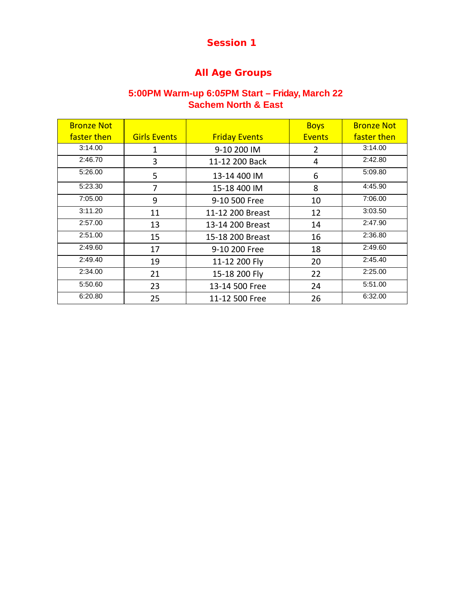## **Session 1**

## **All Age Groups**

#### **5:00PM Warm-up 6:0***5***PM Start – Friday, March 22 Sachem North & East**

| <b>Bronze Not</b> |                     |                      | <b>Boys</b>   | <b>Bronze Not</b> |
|-------------------|---------------------|----------------------|---------------|-------------------|
| faster then       | <b>Girls Events</b> | <b>Friday Events</b> | <b>Events</b> | faster then       |
| 3:14.00           | 1                   | 9-10 200 IM          | 2             | 3:14.00           |
| 2:46.70           | 3                   | 11-12 200 Back       | 4             | 2:42.80           |
| 5:26.00           | 5                   | 13-14 400 IM         | 6             | 5:09.80           |
| 5:23.30           | 7                   | 15-18 400 IM         | 8             | 4:45.90           |
| 7:05.00           | 9                   | 9-10 500 Free        | 10            | 7:06.00           |
| 3:11.20           | 11                  | 11-12 200 Breast     | 12            | 3:03.50           |
| 2:57.00           | 13                  | 13-14 200 Breast     | 14            | 2:47.90           |
| 2:51.00           | 15                  | 15-18 200 Breast     | 16            | 2:36.80           |
| 2:49.60           | 17                  | 9-10 200 Free        | 18            | 2:49.60           |
| 2:49.40           | 19                  | 11-12 200 Fly        | 20            | 2:45.40           |
| 2:34.00           | 21                  | 15-18 200 Fly        | 22            | 2:25.00           |
| 5:50.60           | 23                  | 13-14 500 Free       | 24            | 5:51.00           |
| 6:20.80           | 25                  | 11-12 500 Free       | 26            | 6:32.00           |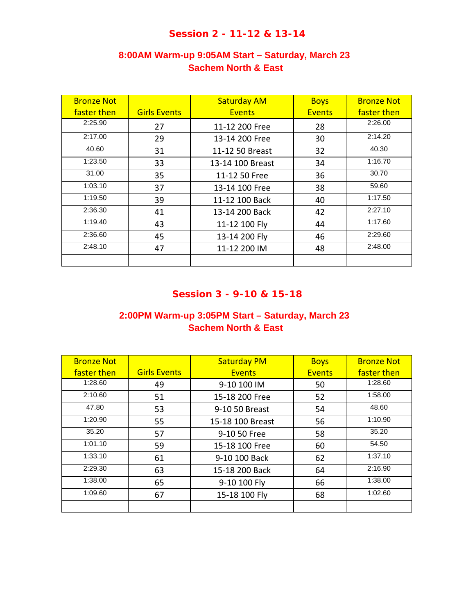#### **Session 2 - 11-12 & 13-14**

| <b>Bronze Not</b> |                     | <b>Saturday AM</b> | <b>Boys</b>   | <b>Bronze Not</b> |
|-------------------|---------------------|--------------------|---------------|-------------------|
| faster then       | <b>Girls Events</b> | <b>Events</b>      | <b>Events</b> | faster then       |
| 2:25.90           | 27                  | 11-12 200 Free     | 28            | 2:26.00           |
| 2:17.00           | 29                  | 13-14 200 Free     | 30            | 2:14.20           |
| 40.60             | 31                  | 11-12 50 Breast    | 32            | 40.30             |
| 1:23.50           | 33                  | 13-14 100 Breast   | 34            | 1:16.70           |
| 31.00             | 35                  | 11-12 50 Free      | 36            | 30.70             |
| 1:03.10           | 37                  | 13-14 100 Free     | 38            | 59.60             |
| 1:19.50           | 39                  | 11-12 100 Back     | 40            | 1:17.50           |
| 2:36.30           | 41                  | 13-14 200 Back     | 42            | 2:27.10           |
| 1:19.40           | 43                  | 11-12 100 Fly      | 44            | 1:17.60           |
| 2:36.60           | 45                  | 13-14 200 Fly      | 46            | 2:29.60           |
| 2:48.10           | 47                  | 11-12 200 IM       | 48            | 2:48.00           |
|                   |                     |                    |               |                   |

## **8:00AM Warm-up 9:05AM Start – Saturday, March 23 Sachem North & East**

#### **Session 3 - 9-10 & 15-18**

## **2:00PM Warm-up 3:05PM Start – Saturday, March 23 Sachem North & East**

| <b>Bronze Not</b> |                     | <b>Saturday PM</b> | <b>Boys</b>   | <b>Bronze Not</b> |
|-------------------|---------------------|--------------------|---------------|-------------------|
| faster then       | <b>Girls Events</b> | <b>Events</b>      | <b>Events</b> | faster then       |
| 1:28.60           | 49                  | 9-10 100 IM        | 50            | 1:28.60           |
| 2:10.60           | 51                  | 15-18 200 Free     | 52            | 1:58.00           |
| 47.80             | 53                  | 9-10 50 Breast     | 54            | 48.60             |
| 1:20.90           | 55                  | 15-18 100 Breast   | 56            | 1:10.90           |
| 35.20             | 57                  | 9-10 50 Free       | 58            | 35.20             |
| 1:01.10           | 59                  | 15-18 100 Free     | 60            | 54.50             |
| 1:33.10           | 61                  | 9-10 100 Back      | 62            | 1:37.10           |
| 2:29.30           | 63                  | 15-18 200 Back     | 64            | 2:16.90           |
| 1:38.00           | 65                  | 9-10 100 Fly       | 66            | 1:38.00           |
| 1:09.60           | 67                  | 15-18 100 Fly      | 68            | 1:02.60           |
|                   |                     |                    |               |                   |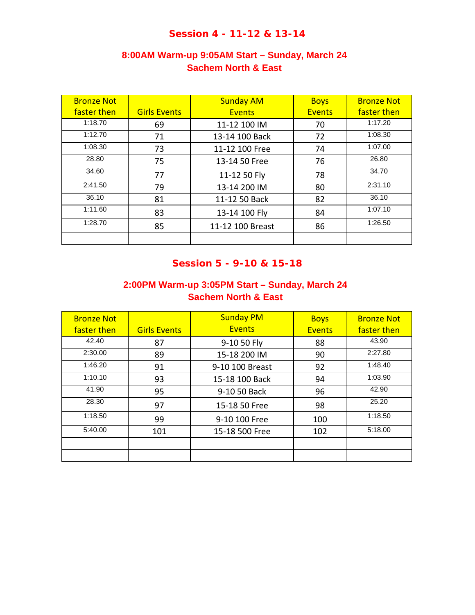#### **Session 4 - 11-12 & 13-14**

## **8:00AM Warm-up 9:05AM Start – Sunday, March 24 Sachem North & East**

| <b>Bronze Not</b> |                     | <b>Sunday AM</b> | <b>Boys</b>   | <b>Bronze Not</b> |
|-------------------|---------------------|------------------|---------------|-------------------|
| faster then       | <b>Girls Events</b> | <b>Events</b>    | <b>Events</b> | faster then       |
| 1:18.70           | 69                  | 11-12 100 IM     | 70            | 1:17.20           |
| 1:12.70           | 71                  | 13-14 100 Back   | 72            | 1:08.30           |
| 1:08.30           | 73                  | 11-12 100 Free   | 74            | 1:07.00           |
| 28.80             | 75                  | 13-14 50 Free    | 76            | 26.80             |
| 34.60             | 77                  | 11-12 50 Fly     | 78            | 34.70             |
| 2:41.50           | 79                  | 13-14 200 IM     | 80            | 2:31.10           |
| 36.10             | 81                  | 11-12 50 Back    | 82            | 36.10             |
| 1:11.60           | 83                  | 13-14 100 Fly    | 84            | 1:07.10           |
| 1:28.70           | 85                  | 11-12 100 Breast | 86            | 1:26.50           |
|                   |                     |                  |               |                   |

## **Session 5 - 9-10 & 15-18**

## **2:00PM Warm-up 3:05PM Start – Sunday, March 24 Sachem North & East**

| <b>Bronze Not</b><br>faster then | <b>Girls Events</b> | <b>Sunday PM</b><br><b>Events</b> | <b>Boys</b><br><b>Events</b> | <b>Bronze Not</b><br>faster then |
|----------------------------------|---------------------|-----------------------------------|------------------------------|----------------------------------|
| 42.40                            | 87                  | 9-10 50 Fly                       | 88                           | 43.90                            |
| 2:30.00                          | 89                  | 15-18 200 IM                      | 90                           | 2:27.80                          |
| 1:46.20                          | 91                  | 9-10 100 Breast                   | 92                           | 1:48.40                          |
| 1:10.10                          | 93                  | 15-18 100 Back                    | 94                           | 1:03.90                          |
| 41.90                            | 95                  | 9-10 50 Back                      | 96                           | 42.90                            |
| 28.30                            | 97                  | 15-18 50 Free                     | 98                           | 25.20                            |
| 1:18.50                          | 99                  | 9-10 100 Free                     | 100                          | 1:18.50                          |
| 5:40.00                          | 101                 | 15-18 500 Free                    | 102                          | 5:18.00                          |
|                                  |                     |                                   |                              |                                  |
|                                  |                     |                                   |                              |                                  |